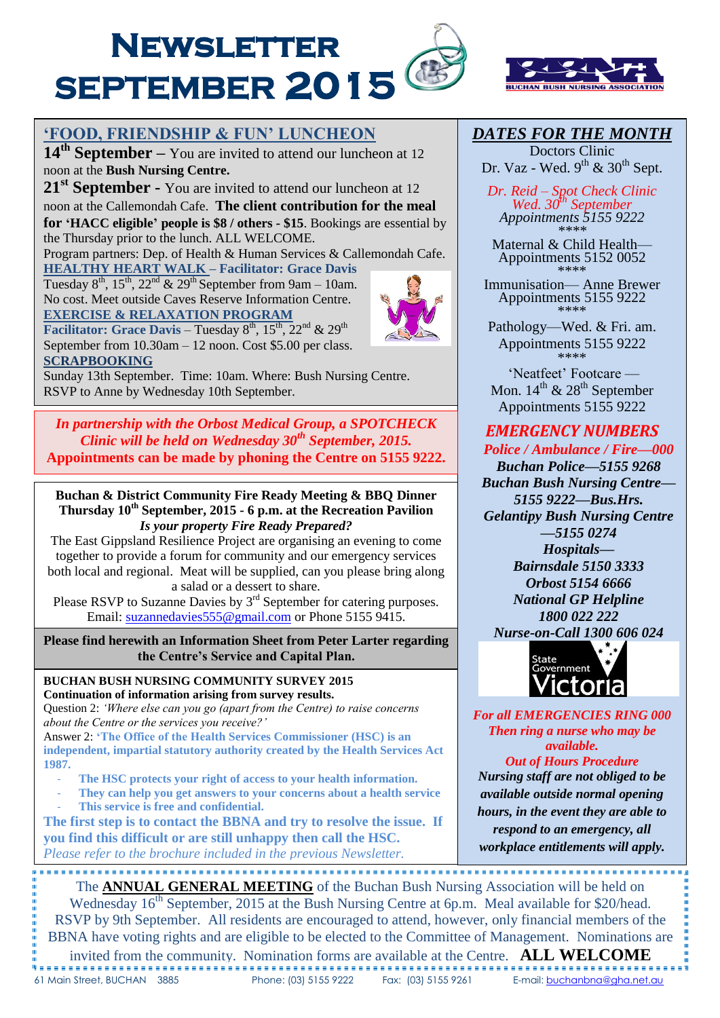



# **'FOOD, FRIENDSHIP & FUN' LUNCHEON**

**14 th September –** You are invited to attend our luncheon at <sup>12</sup> noon at the **Bush Nursing Centre.**

**21st September -** You are invited to attend our luncheon at <sup>12</sup> noon at the Callemondah Cafe. **The client contribution for the meal for 'HACC eligible' people is \$8 / others - \$15**. Bookings are essential by

the Thursday prior to the lunch. ALL WELCOME.

Program partners: Dep. of Health & Human Services & Callemondah Cafe. **HEALTHY HEART WALK – Facilitator: Grace Davis**

Tuesday  $8^{\text{th}}$ ,  $15^{\text{th}}$ ,  $22^{\text{nd}}$  &  $29^{\text{th}}$  September from 9am – 10am. No cost. Meet outside Caves Reserve Information Centre. **EXERCISE & RELAXATION PROGRAM** 

**Facilitator: Grace Davis** – Tuesday  $8^{th}$ ,  $15^{th}$ ,  $22^{nd}$  &  $29^{th}$ September from 10.30am – 12 noon. Cost \$5.00 per class. **SCRAPBOOKING**

י<br>ר

I

Sunday 13th September. Time: 10am. Where: Bush Nursing Centre. RSVP to Anne by Wednesday 10th September.

*In partnership with the Orbost Medical Group, a SPOTCHECK Clinic will be held on Wednesday 30th September, 2015.* **Appointments can be made by phoning the Centre on 5155 9222.**

#### **Buchan & District Community Fire Ready Meeting & BBQ Dinner Thursday 10th September, 2015 - 6 p.m. at the Recreation Pavilion** *Is your property Fire Ready Prepared?*

The East Gippsland Resilience Project are organising an evening to come together to provide a forum for community and our emergency services both local and regional. Meat will be supplied, can you please bring along a salad or a dessert to share.

Please RSVP to Suzanne Davies by  $3<sup>rd</sup>$  September for catering purposes. Email: suzannedavies 555@gmail.com or Phone 5155 9415.

**Please find herewith an Information Sheet from Peter Larter regarding the Centre's Service and Capital Plan.**

**BUCHAN BUSH NURSING COMMUNITY SURVEY 2015 Continuation of information arising from survey results.**

Question 2: *'Where else can you go (apart from the Centre) to raise concerns about the Centre or the services you receive?'*

Answer 2: **'The Office of the Health Services Commissioner (HSC) is an independent, impartial statutory authority created by the Health Services Act 1987.**

- The HSC protects your right of access to your health information.
- **They can help you get answers to your concerns about a health service** This service is free and confidential.

**The first step is to contact the BBNA and try to resolve the issue. If you find this difficult or are still unhappy then call the HSC.**  *Please refer to the brochure included in the previous Newsletter.* 

# *DATES FOR THE MONTH*

Doctors Clinic Dr. Vaz - Wed.  $9^{\text{th}}$  &  $30^{\text{th}}$  Sept.

*Dr. Reid – Spot Check Clinic Wed. 30th September Appointments 5155 9222 \*\*\*\**

Maternal & Child Health— Appointments 5152 0052 \*\*\*\*

Immunisation— Anne Brewer Appointments 5155 9222 \*\*\*\*

Pathology—Wed. & Fri. am. Appointments 5155 9222 \*\*\*\*

'Neatfeet' Footcare — Mon.  $14^{th}$  &  $28^{th}$  September Appointments 5155 9222

# *EMERGENCY NUMBERS*

*Police / Ambulance / Fire—000*

*Buchan Police—5155 9268 Buchan Bush Nursing Centre— 5155 9222—Bus.Hrs. Gelantipy Bush Nursing Centre*

*—5155 0274*

*Hospitals— Bairnsdale 5150 3333 Orbost 5154 6666 National GP Helpline 1800 022 222*

*Nurse-on-Call 1300 606 024*



*For all EMERGENCIES RING 000 Then ring a nurse who may be available. Out of Hours Procedure Nursing staff are not obliged to be available outside normal opening hours, in the event they are able to respond to an emergency, all workplace entitlements will apply.*

The **ANNUAL GENERAL MEETING** of the Buchan Bush Nursing Association will be held on Wednesday 16<sup>th</sup> September, 2015 at the Bush Nursing Centre at 6p.m. Meal available for \$20/head. RSVP by 9th September. All residents are encouraged to attend, however, only financial members of the BBNA have voting rights and are eligible to be elected to the Committee of Management. Nominations are